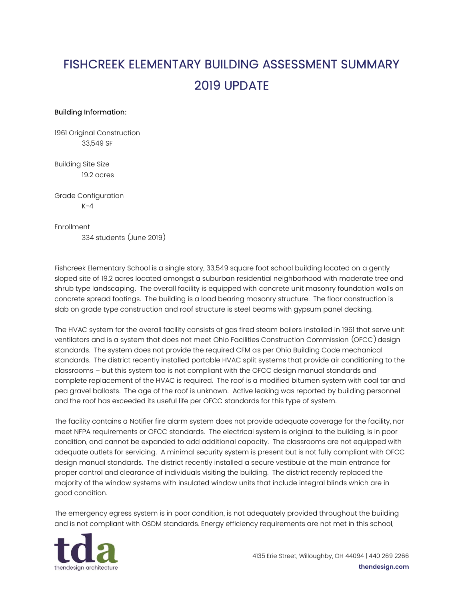## FISHCREEK ELEMENTARY BUILDING ASSESSMENT SUMMARY 2019 UPDATE

## Building Information:

1961 Original Construction 33,549 SF

Building Site Size 19.2 acres

Grade Configuration  $K - 4$ 

Enrollment

334 students (June 2019)

Fishcreek Elementary School is a single story, 33,549 square foot school building located on a gently sloped site of 19.2 acres located amongst a suburban residential neighborhood with moderate tree and shrub type landscaping. The overall facility is equipped with concrete unit masonry foundation walls on concrete spread footings. The building is a load bearing masonry structure. The floor construction is slab on grade type construction and roof structure is steel beams with gypsum panel decking.

The HVAC system for the overall facility consists of gas fired steam boilers installed in 1961 that serve unit ventilators and is a system that does not meet Ohio Facilities Construction Commission (OFCC) design standards. The system does not provide the required CFM as per Ohio Building Code mechanical standards. The district recently installed portable HVAC split systems that provide air conditioning to the classrooms – but this system too is not compliant with the OFCC design manual standards and complete replacement of the HVAC is required. The roof is a modified bitumen system with coal tar and pea gravel ballasts. The age of the roof is unknown. Active leaking was reported by building personnel and the roof has exceeded its useful life per OFCC standards for this type of system.

The facility contains a Notifier fire alarm system does not provide adequate coverage for the facility, nor meet NFPA requirements or OFCC standards. The electrical system is original to the building, is in poor condition, and cannot be expanded to add additional capacity. The classrooms are not equipped with adequate outlets for servicing. A minimal security system is present but is not fully compliant with OFCC design manual standards. The district recently installed a secure vestibule at the main entrance for proper control and clearance of individuals visiting the building. The district recently replaced the majority of the window systems with insulated window units that include integral blinds which are in good condition.

The emergency egress system is in poor condition, is not adequately provided throughout the building and is not compliant with OSDM standards. Energy efficiency requirements are not met in this school,